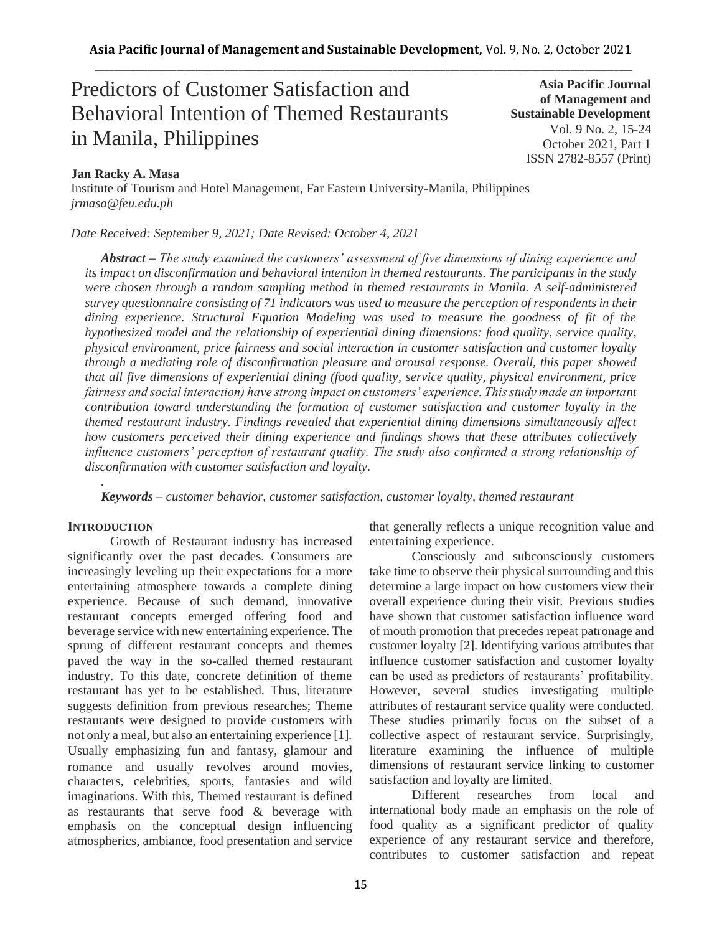# Predictors of Customer Satisfaction and Behavioral Intention of Themed Restaurants in Manila, Philippines

**Asia Pacific Journal of Management and Sustainable Development**  Vol. 9 No. 2, 15-24 October 2021, Part 1 ISSN 2782-8557 (Print)

# **Jan Racky A. Masa**

Institute of Tourism and Hotel Management, Far Eastern University-Manila, Philippines *jrmasa@feu.edu.ph*

*Date Received: September 9, 2021; Date Revised: October 4, 2021*

*Abstract – The study examined the customers' assessment of five dimensions of dining experience and its impact on disconfirmation and behavioral intention in themed restaurants. The participants in the study were chosen through a random sampling method in themed restaurants in Manila. A self-administered survey questionnaire consisting of 71 indicators was used to measure the perception of respondents in their dining experience. Structural Equation Modeling was used to measure the goodness of fit of the hypothesized model and the relationship of experiential dining dimensions: food quality, service quality, physical environment, price fairness and social interaction in customer satisfaction and customer loyalty through a mediating role of disconfirmation pleasure and arousal response. Overall, this paper showed that all five dimensions of experiential dining (food quality, service quality, physical environment, price fairness and social interaction) have strong impact on customers' experience. This study made an important contribution toward understanding the formation of customer satisfaction and customer loyalty in the themed restaurant industry. Findings revealed that experiential dining dimensions simultaneously affect how customers perceived their dining experience and findings shows that these attributes collectively influence customers' perception of restaurant quality. The study also confirmed a strong relationship of disconfirmation with customer satisfaction and loyalty.*

*. Keywords – customer behavior, customer satisfaction, customer loyalty, themed restaurant*

## **INTRODUCTION**

Growth of Restaurant industry has increased significantly over the past decades. Consumers are increasingly leveling up their expectations for a more entertaining atmosphere towards a complete dining experience. Because of such demand, innovative restaurant concepts emerged offering food and beverage service with new entertaining experience. The sprung of different restaurant concepts and themes paved the way in the so-called themed restaurant industry. To this date, concrete definition of theme restaurant has yet to be established. Thus, literature suggests definition from previous researches; Theme restaurants were designed to provide customers with not only a meal, but also an entertaining experience [1]. Usually emphasizing fun and fantasy, glamour and romance and usually revolves around movies, characters, celebrities, sports, fantasies and wild imaginations. With this, Themed restaurant is defined as restaurants that serve food & beverage with emphasis on the conceptual design influencing atmospherics, ambiance, food presentation and service that generally reflects a unique recognition value and entertaining experience.

Consciously and subconsciously customers take time to observe their physical surrounding and this determine a large impact on how customers view their overall experience during their visit. Previous studies have shown that customer satisfaction influence word of mouth promotion that precedes repeat patronage and customer loyalty [2]. Identifying various attributes that influence customer satisfaction and customer loyalty can be used as predictors of restaurants' profitability. However, several studies investigating multiple attributes of restaurant service quality were conducted. These studies primarily focus on the subset of a collective aspect of restaurant service. Surprisingly, literature examining the influence of multiple dimensions of restaurant service linking to customer satisfaction and loyalty are limited.

Different researches from local and international body made an emphasis on the role of food quality as a significant predictor of quality experience of any restaurant service and therefore, contributes to customer satisfaction and repeat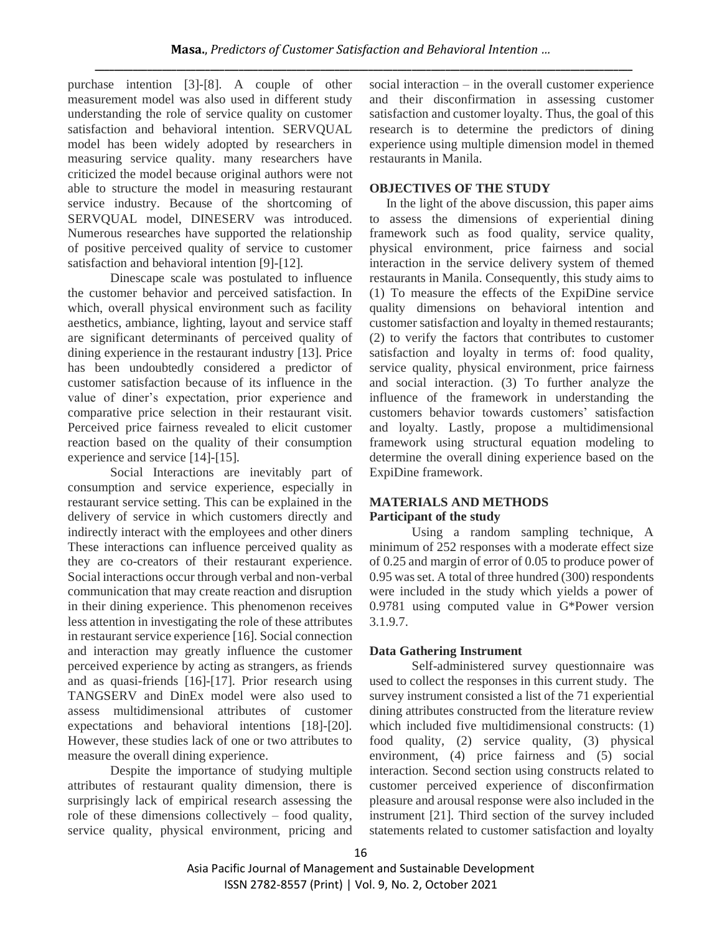purchase intention [3]-[8]. A couple of other measurement model was also used in different study understanding the role of service quality on customer satisfaction and behavioral intention. SERVQUAL model has been widely adopted by researchers in measuring service quality. many researchers have criticized the model because original authors were not able to structure the model in measuring restaurant service industry. Because of the shortcoming of SERVQUAL model, DINESERV was introduced. Numerous researches have supported the relationship of positive perceived quality of service to customer satisfaction and behavioral intention [9]-[12].

Dinescape scale was postulated to influence the customer behavior and perceived satisfaction. In which, overall physical environment such as facility aesthetics, ambiance, lighting, layout and service staff are significant determinants of perceived quality of dining experience in the restaurant industry [13]. Price has been undoubtedly considered a predictor of customer satisfaction because of its influence in the value of diner's expectation, prior experience and comparative price selection in their restaurant visit. Perceived price fairness revealed to elicit customer reaction based on the quality of their consumption experience and service [14]-[15].

Social Interactions are inevitably part of consumption and service experience, especially in restaurant service setting. This can be explained in the delivery of service in which customers directly and indirectly interact with the employees and other diners These interactions can influence perceived quality as they are co-creators of their restaurant experience. Social interactions occur through verbal and non-verbal communication that may create reaction and disruption in their dining experience. This phenomenon receives less attention in investigating the role of these attributes in restaurant service experience [16]. Social connection and interaction may greatly influence the customer perceived experience by acting as strangers, as friends and as quasi-friends [16]-[17]. Prior research using TANGSERV and DinEx model were also used to assess multidimensional attributes of customer expectations and behavioral intentions [18]-[20]. However, these studies lack of one or two attributes to measure the overall dining experience.

Despite the importance of studying multiple attributes of restaurant quality dimension, there is surprisingly lack of empirical research assessing the role of these dimensions collectively – food quality, service quality, physical environment, pricing and social interaction – in the overall customer experience and their disconfirmation in assessing customer satisfaction and customer loyalty. Thus, the goal of this research is to determine the predictors of dining experience using multiple dimension model in themed restaurants in Manila.

## **OBJECTIVES OF THE STUDY**

In the light of the above discussion, this paper aims to assess the dimensions of experiential dining framework such as food quality, service quality, physical environment, price fairness and social interaction in the service delivery system of themed restaurants in Manila. Consequently, this study aims to (1) To measure the effects of the ExpiDine service quality dimensions on behavioral intention and customer satisfaction and loyalty in themed restaurants; (2) to verify the factors that contributes to customer satisfaction and loyalty in terms of: food quality, service quality, physical environment, price fairness and social interaction. (3) To further analyze the influence of the framework in understanding the customers behavior towards customers' satisfaction and loyalty. Lastly, propose a multidimensional framework using structural equation modeling to determine the overall dining experience based on the ExpiDine framework.

## **MATERIALS AND METHODS Participant of the study**

Using a random sampling technique, A minimum of 252 responses with a moderate effect size of 0.25 and margin of error of 0.05 to produce power of 0.95 was set. A total of three hundred (300) respondents were included in the study which yields a power of 0.9781 using computed value in G\*Power version 3.1.9.7.

## **Data Gathering Instrument**

Self-administered survey questionnaire was used to collect the responses in this current study. The survey instrument consisted a list of the 71 experiential dining attributes constructed from the literature review which included five multidimensional constructs: (1) food quality, (2) service quality, (3) physical environment, (4) price fairness and (5) social interaction. Second section using constructs related to customer perceived experience of disconfirmation pleasure and arousal response were also included in the instrument [21]. Third section of the survey included statements related to customer satisfaction and loyalty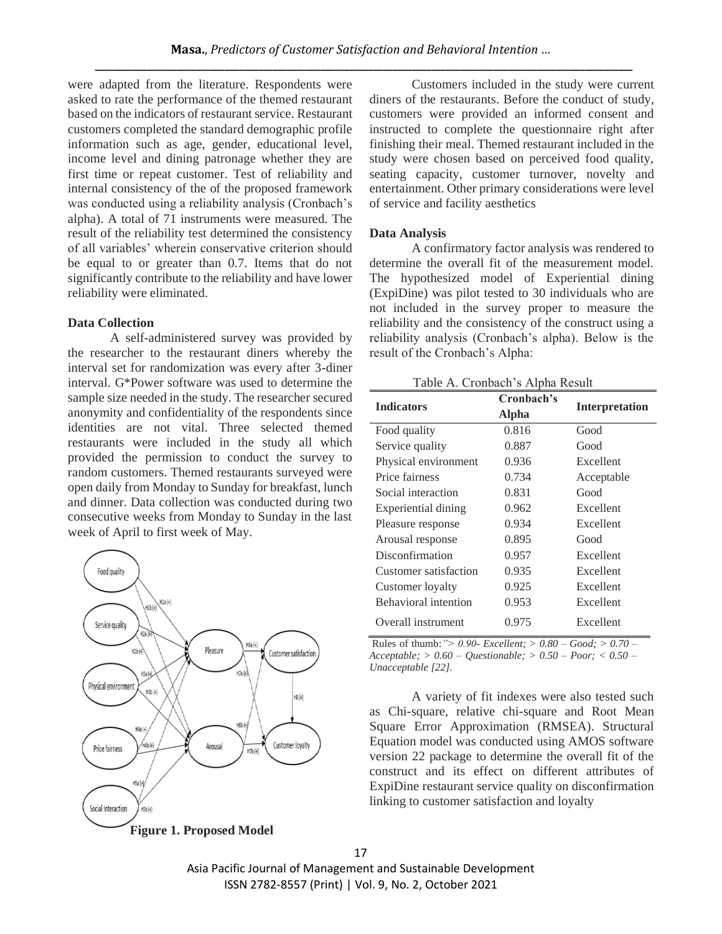were adapted from the literature. Respondents were asked to rate the performance of the themed restaurant based on the indicators of restaurant service. Restaurant customers completed the standard demographic profile information such as age, gender, educational level, income level and dining patronage whether they are first time or repeat customer. Test of reliability and internal consistency of the of the proposed framework was conducted using a reliability analysis (Cronbach's alpha). A total of 71 instruments were measured. The result of the reliability test determined the consistency of all variables' wherein conservative criterion should be equal to or greater than 0.7. Items that do not significantly contribute to the reliability and have lower reliability were eliminated.

#### **Data Collection**

A self-administered survey was provided by the researcher to the restaurant diners whereby the interval set for randomization was every after 3-diner interval. G\*Power software was used to determine the sample size needed in the study. The researcher secured anonymity and confidentiality of the respondents since identities are not vital. Three selected themed restaurants were included in the study all which provided the permission to conduct the survey to random customers. Themed restaurants surveyed were open daily from Monday to Sunday for breakfast, lunch and dinner. Data collection was conducted during two consecutive weeks from Monday to Sunday in the last week of April to first week of May.



Customers included in the study were current diners of the restaurants. Before the conduct of study, customers were provided an informed consent and instructed to complete the questionnaire right after finishing their meal. Themed restaurant included in the study were chosen based on perceived food quality, seating capacity, customer turnover, novelty and entertainment. Other primary considerations were level of service and facility aesthetics

### **Data Analysis**

A confirmatory factor analysis was rendered to determine the overall fit of the measurement model. The hypothesized model of Experiential dining (ExpiDine) was pilot tested to 30 individuals who are not included in the survey proper to measure the reliability and the consistency of the construct using a reliability analysis (Cronbach's alpha). Below is the result of the Cronbach's Alpha:

Table A. Cronbach's Alpha Result

| <b>Indicators</b>     | Cronbach's   |                       |
|-----------------------|--------------|-----------------------|
|                       | <b>Alpha</b> | <b>Interpretation</b> |
| Food quality          | 0.816        | Good                  |
| Service quality       | 0.887        | Good                  |
| Physical environment  | 0.936        | Excellent             |
| Price fairness        | 0.734        | Acceptable            |
| Social interaction    | 0.831        | Good                  |
| Experiential dining   | 0.962        | Excellent             |
| Pleasure response     | 0.934        | Excellent             |
| Arousal response      | 0.895        | Good                  |
| Disconfirmation       | 0.957        | Excellent             |
| Customer satisfaction | 0.935        | Excellent             |
| Customer loyalty      | 0.925        | Excellent             |
| Behavioral intention  | 0.953        | Excellent             |
| Overall instrument    | 0.975        | Excellent             |

Rules of thumb:*"> 0.90- Excellent; > 0.80 – Good; > 0.70 – Acceptable; > 0.60 – Questionable; > 0.50 – Poor; < 0.50 – Unacceptable [22].*

A variety of fit indexes were also tested such as Chi-square, relative chi-square and Root Mean Square Error Approximation (RMSEA). Structural Equation model was conducted using AMOS software version 22 package to determine the overall fit of the construct and its effect on different attributes of ExpiDine restaurant service quality on disconfirmation linking to customer satisfaction and loyalty

Asia Pacific Journal of Management and Sustainable Development ISSN 2782-8557 (Print) | Vol. 9, No. 2, October 2021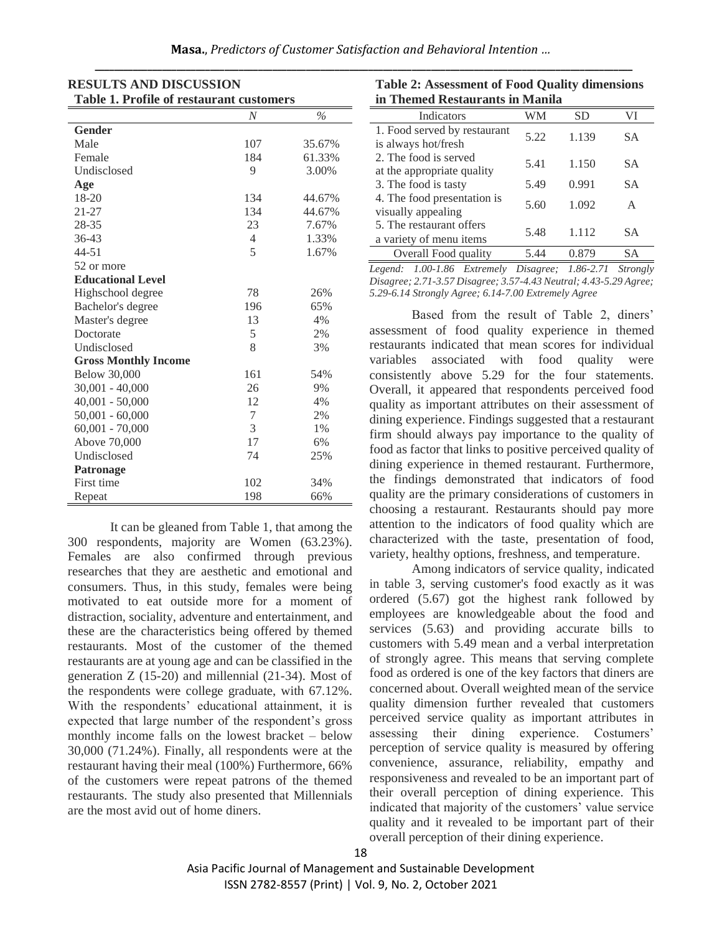| Masa., Predictors of Customer Satisfaction and Behavioral Intention |  |
|---------------------------------------------------------------------|--|
|                                                                     |  |

| <b>Table 1. Profile of restaurant customers</b> |                |        |  |  |
|-------------------------------------------------|----------------|--------|--|--|
|                                                 | N              | $\%$   |  |  |
| <b>Gender</b>                                   |                |        |  |  |
| Male                                            | 107            | 35.67% |  |  |
| Female                                          | 184            | 61.33% |  |  |
| Undisclosed                                     | 9              | 3.00%  |  |  |
| Age                                             |                |        |  |  |
| 18-20                                           | 134            | 44.67% |  |  |
| $21 - 27$                                       | 134            | 44.67% |  |  |
| 28-35                                           | 23             | 7.67%  |  |  |
| $36 - 43$                                       | $\overline{4}$ | 1.33%  |  |  |
| $44 - 51$                                       | 5              | 1.67%  |  |  |
| 52 or more                                      |                |        |  |  |
| <b>Educational Level</b>                        |                |        |  |  |
| Highschool degree                               | 78             | 26%    |  |  |
| Bachelor's degree                               | 196            | 65%    |  |  |
| Master's degree                                 | 13             | 4%     |  |  |
| Doctorate                                       | 5              | 2%     |  |  |
| Undisclosed                                     | 8              | 3%     |  |  |
| <b>Gross Monthly Income</b>                     |                |        |  |  |
| <b>Below 30,000</b>                             | 161            | 54%    |  |  |
| $30,001 - 40,000$                               | 26             | 9%     |  |  |
| $40,001 - 50,000$                               | 12             | 4%     |  |  |
| $50,001 - 60,000$                               | 7              | 2%     |  |  |
| $60,001 - 70,000$                               | 3              | 1%     |  |  |
| Above 70,000                                    | 17             | 6%     |  |  |
| Undisclosed                                     | 74             | 25%    |  |  |
| Patronage                                       |                |        |  |  |
| First time                                      | 102            | 34%    |  |  |
| Repeat                                          | 198            | 66%    |  |  |

**RESULTS AND DISCUSSION** 

It can be gleaned from Table 1, that among the 300 respondents, majority are Women (63.23%). Females are also confirmed through previous researches that they are aesthetic and emotional and consumers. Thus, in this study, females were being motivated to eat outside more for a moment of distraction, sociality, adventure and entertainment, and these are the characteristics being offered by themed restaurants. Most of the customer of the themed restaurants are at young age and can be classified in the generation Z (15-20) and millennial (21-34). Most of the respondents were college graduate, with 67.12%. With the respondents' educational attainment, it is expected that large number of the respondent's gross monthly income falls on the lowest bracket – below 30,000 (71.24%). Finally, all respondents were at the restaurant having their meal (100%) Furthermore, 66% of the customers were repeat patrons of the themed restaurants. The study also presented that Millennials are the most avid out of home diners.

| <b>Table 2: Assessment of Food Quality dimensions</b> |  |
|-------------------------------------------------------|--|
| in Themed Restaurants in Manila                       |  |

| Indicators                   | WМ   | SD    |    |  |  |
|------------------------------|------|-------|----|--|--|
| 1. Food served by restaurant | 5.22 | 1.139 | SА |  |  |
| is always hot/fresh          |      |       |    |  |  |
| 2. The food is served        | 5.41 | 1.150 | SА |  |  |
| at the appropriate quality   |      |       |    |  |  |
| 3. The food is tasty         | 5.49 | 0.991 | SА |  |  |
| 4. The food presentation is  | 5.60 | 1.092 | A  |  |  |
| visually appealing           |      |       |    |  |  |
| 5. The restaurant offers     | 5.48 | 1.112 | SА |  |  |
| a variety of menu items      |      |       |    |  |  |
| Overall Food quality         | 5.44 | 0.879 | SА |  |  |
| .  .                         |      |       |    |  |  |

*Legend: 1.00-1.86 Extremely Disagree; 1.86-2.71 Strongly Disagree; 2.71-3.57 Disagree; 3.57-4.43 Neutral; 4.43-5.29 Agree; 5.29-6.14 Strongly Agree; 6.14-7.00 Extremely Agree* 

Based from the result of Table 2, diners' assessment of food quality experience in themed restaurants indicated that mean scores for individual variables associated with food quality were consistently above 5.29 for the four statements. Overall, it appeared that respondents perceived food quality as important attributes on their assessment of dining experience. Findings suggested that a restaurant firm should always pay importance to the quality of food as factor that links to positive perceived quality of dining experience in themed restaurant. Furthermore, the findings demonstrated that indicators of food quality are the primary considerations of customers in choosing a restaurant. Restaurants should pay more attention to the indicators of food quality which are characterized with the taste, presentation of food, variety, healthy options, freshness, and temperature.

Among indicators of service quality, indicated in table 3, serving customer's food exactly as it was ordered (5.67) got the highest rank followed by employees are knowledgeable about the food and services (5.63) and providing accurate bills to customers with 5.49 mean and a verbal interpretation of strongly agree. This means that serving complete food as ordered is one of the key factors that diners are concerned about. Overall weighted mean of the service quality dimension further revealed that customers perceived service quality as important attributes in assessing their dining experience. Costumers' perception of service quality is measured by offering convenience, assurance, reliability, empathy and responsiveness and revealed to be an important part of their overall perception of dining experience. This indicated that majority of the customers' value service quality and it revealed to be important part of their overall perception of their dining experience.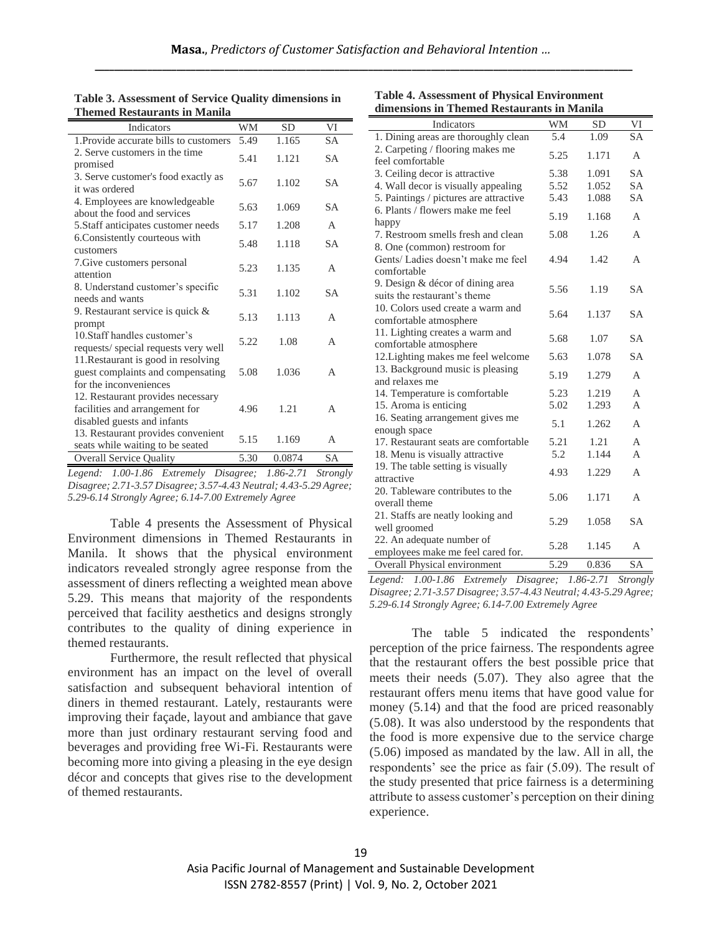|                                     | Table 3. Assessment of Service Quality dimensions in |  |
|-------------------------------------|------------------------------------------------------|--|
| <b>Themed Restaurants in Manila</b> |                                                      |  |

| Indicators                                                                                         | <b>WM</b> | <b>SD</b> | VI        |
|----------------------------------------------------------------------------------------------------|-----------|-----------|-----------|
| 1. Provide accurate bills to customers                                                             | 5.49      | 1.165     | <b>SA</b> |
| 2. Serve customers in the time<br>promised                                                         | 5.41      | 1.121     | <b>SA</b> |
| 3. Serve customer's food exactly as<br>it was ordered                                              | 5.67      | 1.102     | <b>SA</b> |
| 4. Employees are knowledgeable<br>about the food and services                                      | 5.63      | 1.069     | <b>SA</b> |
| 5. Staff anticipates customer needs                                                                | 5.17      | 1.208     | A         |
| 6. Consistently courteous with<br>customers                                                        | 5.48      | 1.118     | <b>SA</b> |
| 7. Give customers personal<br>attention                                                            | 5.23      | 1.135     | A         |
| 8. Understand customer's specific<br>needs and wants                                               | 5.31      | 1.102     | <b>SA</b> |
| 9. Restaurant service is quick $\&$<br>prompt                                                      | 5.13      | 1.113     | A         |
| 10. Staff handles customer's<br>requests/ special requests very well                               | 5.22      | 1.08      | A         |
| 11. Restaurant is good in resolving<br>guest complaints and compensating<br>for the inconveniences | 5.08      | 1.036     | A         |
| 12. Restaurant provides necessary<br>facilities and arrangement for<br>disabled guests and infants | 4.96      | 1.21      | A         |
| 13. Restaurant provides convenient<br>seats while waiting to be seated                             | 5.15      | 1.169     | A         |
| <b>Overall Service Quality</b>                                                                     | 5.30      | 0.0874    | <b>SA</b> |

*Legend: 1.00-1.86 Extremely Disagree; 1.86-2.71 Strongly Disagree; 2.71-3.57 Disagree; 3.57-4.43 Neutral; 4.43-5.29 Agree; 5.29-6.14 Strongly Agree; 6.14-7.00 Extremely Agree* 

Table 4 presents the Assessment of Physical Environment dimensions in Themed Restaurants in Manila. It shows that the physical environment indicators revealed strongly agree response from the assessment of diners reflecting a weighted mean above 5.29. This means that majority of the respondents perceived that facility aesthetics and designs strongly contributes to the quality of dining experience in themed restaurants.

Furthermore, the result reflected that physical environment has an impact on the level of overall satisfaction and subsequent behavioral intention of diners in themed restaurant. Lately, restaurants were improving their façade, layout and ambiance that gave more than just ordinary restaurant serving food and beverages and providing free Wi-Fi. Restaurants were becoming more into giving a pleasing in the eye design décor and concepts that gives rise to the development of themed restaurants.

| dimensions in Themed Restaurants in Manila       |      |           |                |
|--------------------------------------------------|------|-----------|----------------|
| Indicators                                       | WM   | <b>SD</b> | VI             |
| 1. Dining areas are thoroughly clean             | 5.4  | 1.09      | <b>SA</b>      |
| 2. Carpeting / flooring makes me                 | 5.25 | 1.171     | A              |
| feel comfortable                                 |      |           |                |
| 3. Ceiling decor is attractive.                  | 5.38 | 1.091     | <b>SA</b>      |
| 4. Wall decor is visually appealing              | 5.52 | 1.052     | <b>SA</b>      |
| 5. Paintings / pictures are attractive           | 5.43 | 1.088     | <b>SA</b>      |
| 6. Plants / flowers make me feel<br>happy        | 5.19 | 1.168     | A              |
| 7. Restroom smells fresh and clean               | 5.08 | 1.26      | A              |
| 8. One (common) restroom for                     |      |           |                |
| Gents/Ladies doesn't make me feel                | 4.94 | 1.42      | A              |
| comfortable                                      |      |           |                |
| 9. Design & décor of dining area                 |      |           |                |
| suits the restaurant's theme                     | 5.56 | 1.19      | SА             |
| 10. Colors used create a warm and                |      |           |                |
| comfortable atmosphere                           | 5.64 | 1.137     | <b>SA</b>      |
| 11. Lighting creates a warm and                  |      |           |                |
| comfortable atmosphere                           | 5.68 | 1.07      | <b>SA</b>      |
| 12. Lighting makes me feel welcome               | 5.63 | 1.078     | <b>SA</b>      |
| 13. Background music is pleasing                 | 5.19 | 1.279     | A              |
| and relaxes me                                   |      |           |                |
| 14. Temperature is comfortable                   | 5.23 | 1.219     | $\overline{A}$ |
| 15. Aroma is enticing                            | 5.02 | 1.293     | A              |
| 16. Seating arrangement gives me<br>enough space | 5.1  | 1.262     | A              |
| 17. Restaurant seats are comfortable             | 5.21 | 1.21      | A              |
| 18. Menu is visually attractive                  | 5.2  | 1.144     | A              |
| 19. The table setting is visually                |      |           |                |
| attractive                                       | 4.93 | 1.229     | A              |
| 20. Tableware contributes to the                 |      |           |                |
| overall theme                                    | 5.06 | 1.171     | A              |
| 21. Staffs are neatly looking and                |      |           |                |
| well groomed                                     | 5.29 | 1.058     | <b>SA</b>      |
| 22. An adequate number of                        |      |           |                |
| employees make me feel cared for.                | 5.28 | 1.145     | A              |
| Overall Physical environment                     | 5.29 | 0.836     | <b>SA</b>      |

**Table 4. Assessment of Physical Environment** 

*Legend: 1.00-1.86 Extremely Disagree; 1.86-2.71 Strongly Disagree; 2.71-3.57 Disagree; 3.57-4.43 Neutral; 4.43-5.29 Agree; 5.29-6.14 Strongly Agree; 6.14-7.00 Extremely Agree* 

The table 5 indicated the respondents' perception of the price fairness. The respondents agree that the restaurant offers the best possible price that meets their needs (5.07). They also agree that the restaurant offers menu items that have good value for money (5.14) and that the food are priced reasonably (5.08). It was also understood by the respondents that the food is more expensive due to the service charge (5.06) imposed as mandated by the law. All in all, the respondents' see the price as fair (5.09). The result of the study presented that price fairness is a determining attribute to assess customer's perception on their dining experience.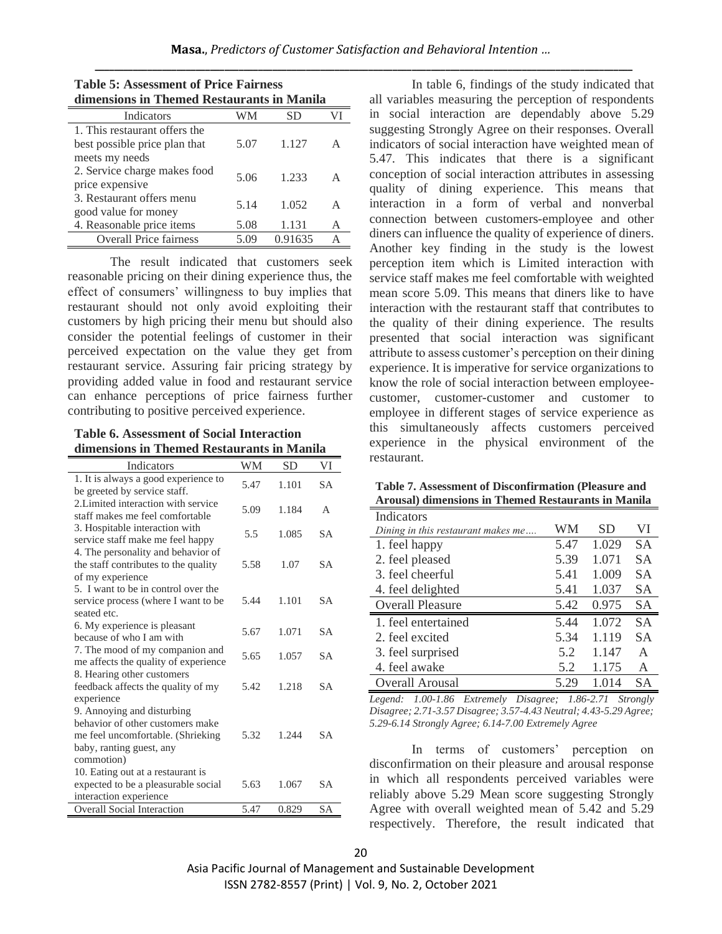| dimensions in Themed Restaurants in Manila |      |         |   |  |  |
|--------------------------------------------|------|---------|---|--|--|
| Indicators                                 |      | SD      |   |  |  |
| 1. This restaurant offers the              |      |         |   |  |  |
| best possible price plan that              | 5.07 | 1.127   | A |  |  |
| meets my needs                             |      |         |   |  |  |
| 2. Service charge makes food               | 5.06 | 1.233   | A |  |  |
| price expensive                            |      |         |   |  |  |
| 3. Restaurant offers menu                  | 5.14 | 1.052   | A |  |  |
| good value for money                       |      |         |   |  |  |
| 4. Reasonable price items                  | 5.08 | 1.131   | A |  |  |
| <b>Overall Price fairness</b>              | 5.09 | 0.91635 | А |  |  |

## **Table 5: Assessment of Price Fairness dimensions in Themed Restaurants in Manila**

The result indicated that customers seek reasonable pricing on their dining experience thus, the effect of consumers' willingness to buy implies that restaurant should not only avoid exploiting their customers by high pricing their menu but should also consider the potential feelings of customer in their perceived expectation on the value they get from restaurant service. Assuring fair pricing strategy by providing added value in food and restaurant service can enhance perceptions of price fairness further contributing to positive perceived experience.

#### **Table 6. Assessment of Social Interaction dimensions in Themed Restaurants in Manila**

| Indicators                                                     | WM   | <b>SD</b> | VI        |
|----------------------------------------------------------------|------|-----------|-----------|
| 1. It is always a good experience to                           | 5.47 | 1.101     | <b>SA</b> |
| be greeted by service staff.                                   |      |           |           |
| 2. Limited interaction with service                            | 5.09 | 1.184     | A         |
| staff makes me feel comfortable                                |      |           |           |
| 3. Hospitable interaction with                                 | 5.5  | 1.085     | <b>SA</b> |
| service staff make me feel happy                               |      |           |           |
| 4. The personality and behavior of                             |      |           |           |
| the staff contributes to the quality                           | 5.58 | 1.07      | <b>SA</b> |
| of my experience                                               |      |           |           |
| 5. I want to be in control over the                            |      |           |           |
| service process (where I want to be                            | 5.44 | 1.101     | <b>SA</b> |
| seated etc.                                                    |      |           |           |
| 6. My experience is pleasant                                   | 5.67 | 1.071     | <b>SA</b> |
| because of who I am with                                       |      |           |           |
| 7. The mood of my companion and                                | 5.65 | 1.057     | SА        |
| me affects the quality of experience                           |      |           |           |
| 8. Hearing other customers                                     |      |           |           |
| feedback affects the quality of my                             | 5.42 | 1.218     | SА        |
| experience                                                     |      |           |           |
| 9. Annoying and disturbing<br>behavior of other customers make |      |           |           |
|                                                                | 5.32 |           | SА        |
| me feel uncomfortable. (Shrieking                              |      | 1.244     |           |
| baby, ranting guest, any                                       |      |           |           |
| commotion)                                                     |      |           |           |
| 10. Eating out at a restaurant is                              |      | 1.067     | <b>SA</b> |
| expected to be a pleasurable social                            | 5.63 |           |           |
| interaction experience                                         |      |           |           |
| <b>Overall Social Interaction</b>                              | 5.47 | 0.829     | <b>SA</b> |

In table 6, findings of the study indicated that all variables measuring the perception of respondents in social interaction are dependably above 5.29 suggesting Strongly Agree on their responses. Overall indicators of social interaction have weighted mean of 5.47. This indicates that there is a significant conception of social interaction attributes in assessing quality of dining experience. This means that interaction in a form of verbal and nonverbal connection between customers-employee and other diners can influence the quality of experience of diners. Another key finding in the study is the lowest perception item which is Limited interaction with service staff makes me feel comfortable with weighted mean score 5.09. This means that diners like to have interaction with the restaurant staff that contributes to the quality of their dining experience. The results presented that social interaction was significant attribute to assess customer's perception on their dining experience. It is imperative for service organizations to know the role of social interaction between employeecustomer, customer-customer and customer to employee in different stages of service experience as this simultaneously affects customers perceived experience in the physical environment of the restaurant.

|  |  | Table 7. Assessment of Disconfirmation (Pleasure and       |
|--|--|------------------------------------------------------------|
|  |  | <b>Arousal) dimensions in Themed Restaurants in Manila</b> |

| Indicators                         |      |           |              |
|------------------------------------|------|-----------|--------------|
| Dining in this restaurant makes me | WM   | <b>SD</b> | VI           |
| 1. feel happy                      | 5.47 | 1.029     | <b>SA</b>    |
| 2. feel pleased                    | 5.39 | 1.071     | <b>SA</b>    |
| 3. feel cheerful                   | 5.41 | 1.009     | <b>SA</b>    |
| 4. feel delighted                  | 5.41 | 1.037     | SА           |
| <b>Overall Pleasure</b>            | 5.42 | 0.975     | SA           |
| 1. feel entertained                | 5.44 | 1.072     | <b>SA</b>    |
| 2. feel excited                    | 5.34 | 1.119     | <b>SA</b>    |
| 3. feel surprised                  | 5.2  | 1.147     | $\mathsf{A}$ |
| 4. feel awake                      | 5.2  | 1.175     | A            |
| Overall Arousal                    | 5.29 | 1.014     | SА           |

*Legend: 1.00-1.86 Extremely Disagree; 1.86-2.71 Strongly Disagree; 2.71-3.57 Disagree; 3.57-4.43 Neutral; 4.43-5.29 Agree; 5.29-6.14 Strongly Agree; 6.14-7.00 Extremely Agree*

In terms of customers' perception on disconfirmation on their pleasure and arousal response in which all respondents perceived variables were reliably above 5.29 Mean score suggesting Strongly Agree with overall weighted mean of 5.42 and 5.29 respectively. Therefore, the result indicated that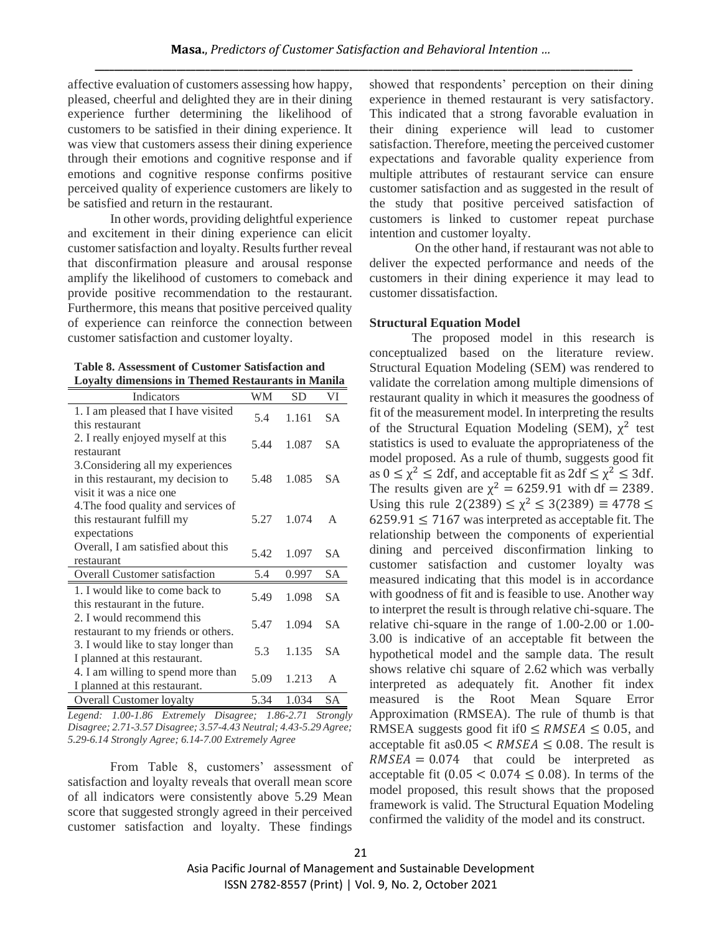affective evaluation of customers assessing how happy, pleased, cheerful and delighted they are in their dining experience further determining the likelihood of customers to be satisfied in their dining experience. It was view that customers assess their dining experience through their emotions and cognitive response and if emotions and cognitive response confirms positive perceived quality of experience customers are likely to be satisfied and return in the restaurant.

In other words, providing delightful experience and excitement in their dining experience can elicit customer satisfaction and loyalty. Results further reveal that disconfirmation pleasure and arousal response amplify the likelihood of customers to comeback and provide positive recommendation to the restaurant. Furthermore, this means that positive perceived quality of experience can reinforce the connection between customer satisfaction and customer loyalty.

**Table 8. Assessment of Customer Satisfaction and Loyalty dimensions in Themed Restaurants in Manila**

| <b>Indicators</b>                                                                                  | WМ   | <b>SD</b> | VI        |
|----------------------------------------------------------------------------------------------------|------|-----------|-----------|
| 1. I am pleased that I have visited<br>this restaurant                                             | 5.4  | 1.161     | SА        |
| 2. I really enjoyed myself at this<br>restaurant                                                   | 5.44 | 1.087     | SA.       |
| 3. Considering all my experiences<br>in this restaurant, my decision to<br>visit it was a nice one | 5.48 | 1.085     | SА        |
| 4. The food quality and services of<br>this restaurant fulfill my<br>expectations                  | 5.27 | 1.074     | A         |
| Overall, I am satisfied about this<br>restaurant                                                   | 5.42 | 1.097     | SА        |
| <b>Overall Customer satisfaction</b>                                                               | 5.4  | 0.997     | <b>SA</b> |
| 1. I would like to come back to<br>this restaurant in the future.                                  | 5.49 | 1.098     | SА        |
| 2. I would recommend this<br>restaurant to my friends or others.                                   | 5.47 | 1.094     | <b>SA</b> |
| 3. I would like to stay longer than<br>I planned at this restaurant.                               | 5.3  | 1.135     | <b>SA</b> |
| 4. I am willing to spend more than<br>I planned at this restaurant.                                | 5.09 | 1.213     | A         |
| <b>Overall Customer loyalty</b>                                                                    | 5.34 | 1.034     | SA        |

*Legend: 1.00-1.86 Extremely Disagree; 1.86-2.71 Strongly Disagree; 2.71-3.57 Disagree; 3.57-4.43 Neutral; 4.43-5.29 Agree; 5.29-6.14 Strongly Agree; 6.14-7.00 Extremely Agree* 

From Table 8, customers' assessment of satisfaction and loyalty reveals that overall mean score of all indicators were consistently above 5.29 Mean score that suggested strongly agreed in their perceived customer satisfaction and loyalty. These findings showed that respondents' perception on their dining experience in themed restaurant is very satisfactory. This indicated that a strong favorable evaluation in their dining experience will lead to customer satisfaction. Therefore, meeting the perceived customer expectations and favorable quality experience from multiple attributes of restaurant service can ensure customer satisfaction and as suggested in the result of the study that positive perceived satisfaction of customers is linked to customer repeat purchase intention and customer loyalty.

On the other hand, if restaurant was not able to deliver the expected performance and needs of the customers in their dining experience it may lead to customer dissatisfaction.

# **Structural Equation Model**

The proposed model in this research is conceptualized based on the literature review. Structural Equation Modeling (SEM) was rendered to validate the correlation among multiple dimensions of restaurant quality in which it measures the goodness of fit of the measurement model. In interpreting the results of the Structural Equation Modeling (SEM),  $\chi^2$  test statistics is used to evaluate the appropriateness of the model proposed. As a rule of thumb, suggests good fit as  $0 \leq \chi^2 \leq 2df$ , and acceptable fit as  $2df \leq \chi^2 \leq 3df$ . The results given are  $\chi^2 = 6259.91$  with df = 2389. Using this rule 2(2389)  $\le \chi^2 \le 3(2389) \equiv 4778 \le$  $6259.91 \le 7167$  was interpreted as acceptable fit. The relationship between the components of experiential dining and perceived disconfirmation linking to customer satisfaction and customer loyalty was measured indicating that this model is in accordance with goodness of fit and is feasible to use. Another way to interpret the result is through relative chi-square. The relative chi-square in the range of 1.00-2.00 or 1.00- 3.00 is indicative of an acceptable fit between the hypothetical model and the sample data. The result shows relative chi square of 2.62 which was verbally interpreted as adequately fit. Another fit index measured is the Root Mean Square Error Approximation (RMSEA). The rule of thumb is that RMSEA suggests good fit if  $0 \leq RMSEA \leq 0.05$ , and acceptable fit as  $0.05 < RMSEA \leq 0.08$ . The result is  $RMSEA = 0.074$  that could be interpreted as acceptable fit  $(0.05 < 0.074 \le 0.08)$ . In terms of the model proposed, this result shows that the proposed framework is valid. The Structural Equation Modeling confirmed the validity of the model and its construct.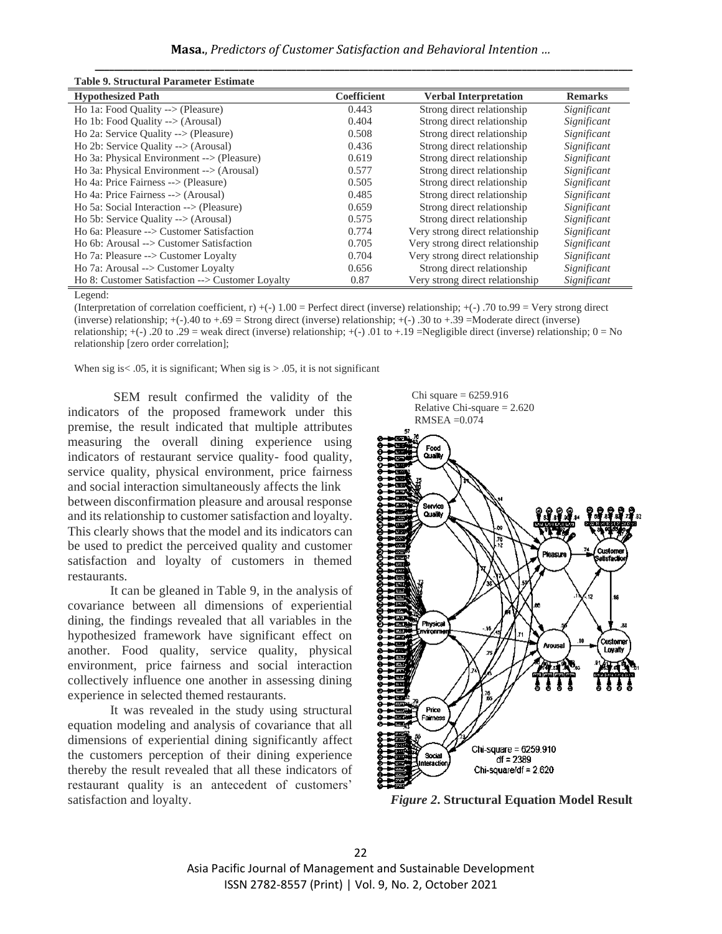| Lable 9. Structural Parameter Estimate              |                    |                                 |                |
|-----------------------------------------------------|--------------------|---------------------------------|----------------|
| <b>Hypothesized Path</b>                            | <b>Coefficient</b> | <b>Verbal Interpretation</b>    | <b>Remarks</b> |
| Ho 1a: Food Quality --> (Pleasure)                  | 0.443              | Strong direct relationship      | Significant    |
| Ho 1b: Food Quality $\rightarrow$ (Arousal)         | 0.404              | Strong direct relationship      | Significant    |
| Ho 2a: Service Quality $\rightarrow$ (Pleasure)     | 0.508              | Strong direct relationship      | Significant    |
| Ho 2b: Service Quality $\rightarrow$ (Arousal)      | 0.436              | Strong direct relationship      | Significant    |
| Ho 3a: Physical Environment --> (Pleasure)          | 0.619              | Strong direct relationship      | Significant    |
| Ho 3a: Physical Environment $\rightarrow$ (Arousal) | 0.577              | Strong direct relationship      | Significant    |
| Ho 4a: Price Fairness --> (Pleasure)                | 0.505              | Strong direct relationship      | Significant    |
| Ho 4a: Price Fairness $\rightarrow$ (Arousal)       | 0.485              | Strong direct relationship      | Significant    |
| Ho 5a: Social Interaction $\rightarrow$ (Pleasure)  | 0.659              | Strong direct relationship      | Significant    |
| Ho 5b: Service Quality $\rightarrow$ (Arousal)      | 0.575              | Strong direct relationship      | Significant    |
| Ho 6a: Pleasure --> Customer Satisfaction           | 0.774              | Very strong direct relationship | Significant    |
| Ho 6b: Arousal --> Customer Satisfaction            | 0.705              | Very strong direct relationship | Significant    |
| Ho 7a: Pleasure --> Customer Loyalty                | 0.704              | Very strong direct relationship | Significant    |
| Ho 7a: Arousal --> Customer Loyalty                 | 0.656              | Strong direct relationship      | Significant    |
| Ho 8: Customer Satisfaction --> Customer Loyalty    | 0.87               | Very strong direct relationship | Significant    |

**Table 9. Structural Parameter Estimate**

Legend:

(Interpretation of correlation coefficient, r)  $+(-)$  1.00 = Perfect direct (inverse) relationship;  $+(-)$  .70 to.99 = Very strong direct (inverse) relationship;  $+(-)$ .40 to  $+$ .69 = Strong direct (inverse) relationship;  $+(-)$ .30 to  $+$ .39 = Moderate direct (inverse) relationship;  $+(-)$  .20 to .29 = weak direct (inverse) relationship;  $+(-)$  .01 to  $+19$  =Negligible direct (inverse) relationship; 0 = No relationship [zero order correlation];

When sig is  $\lt$  0.05, it is significant; When sig is  $> 0.05$ , it is not significant

SEM result confirmed the validity of the indicators of the proposed framework under this premise, the result indicated that multiple attributes measuring the overall dining experience using indicators of restaurant service quality- food quality, service quality, physical environment, price fairness and social interaction simultaneously affects the link between disconfirmation pleasure and arousal response and its relationship to customer satisfaction and loyalty. This clearly shows that the model and its indicators can be used to predict the perceived quality and customer satisfaction and loyalty of customers in themed restaurants.

It can be gleaned in Table 9, in the analysis of covariance between all dimensions of experiential dining, the findings revealed that all variables in the hypothesized framework have significant effect on another. Food quality, service quality, physical environment, price fairness and social interaction collectively influence one another in assessing dining experience in selected themed restaurants.

It was revealed in the study using structural equation modeling and analysis of covariance that all dimensions of experiential dining significantly affect the customers perception of their dining experience thereby the result revealed that all these indicators of restaurant quality is an antecedent of customers' satisfaction and loyalty.



*Figure 2***. Structural Equation Model Result**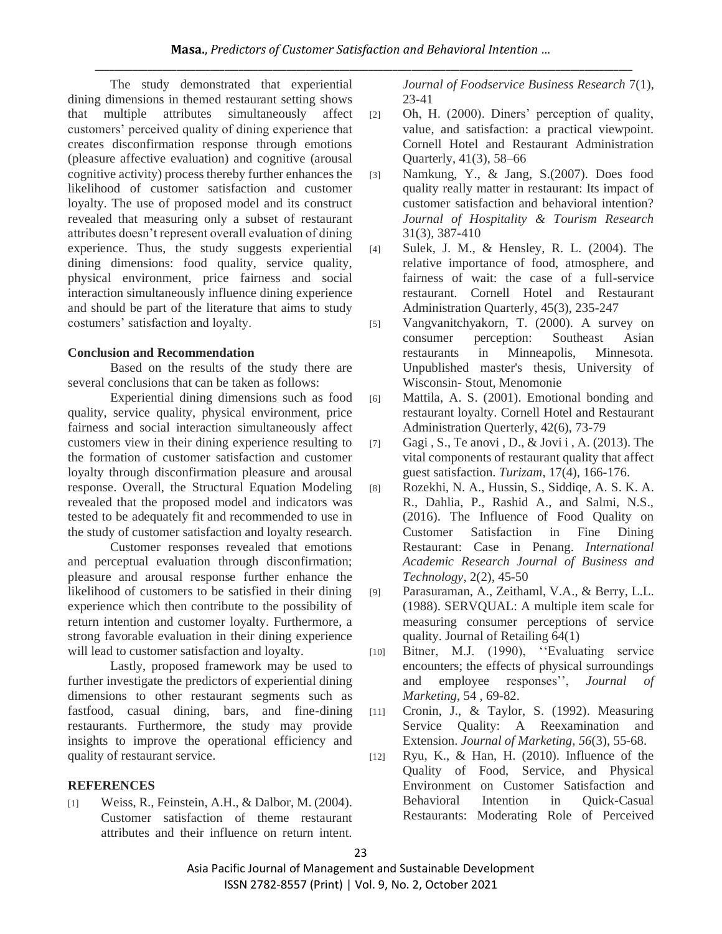The study demonstrated that experiential dining dimensions in themed restaurant setting shows that multiple attributes simultaneously affect customers' perceived quality of dining experience that creates disconfirmation response through emotions (pleasure affective evaluation) and cognitive (arousal cognitive activity) process thereby further enhances the likelihood of customer satisfaction and customer loyalty. The use of proposed model and its construct revealed that measuring only a subset of restaurant attributes doesn't represent overall evaluation of dining experience. Thus, the study suggests experiential dining dimensions: food quality, service quality, physical environment, price fairness and social interaction simultaneously influence dining experience and should be part of the literature that aims to study costumers' satisfaction and loyalty.

# **Conclusion and Recommendation**

Based on the results of the study there are several conclusions that can be taken as follows:

Experiential dining dimensions such as food quality, service quality, physical environment, price fairness and social interaction simultaneously affect customers view in their dining experience resulting to the formation of customer satisfaction and customer loyalty through disconfirmation pleasure and arousal response. Overall, the Structural Equation Modeling revealed that the proposed model and indicators was tested to be adequately fit and recommended to use in the study of customer satisfaction and loyalty research.

Customer responses revealed that emotions and perceptual evaluation through disconfirmation; pleasure and arousal response further enhance the likelihood of customers to be satisfied in their dining experience which then contribute to the possibility of return intention and customer loyalty. Furthermore, a strong favorable evaluation in their dining experience will lead to customer satisfaction and loyalty.

Lastly, proposed framework may be used to further investigate the predictors of experiential dining dimensions to other restaurant segments such as fastfood, casual dining, bars, and fine-dining restaurants. Furthermore, the study may provide insights to improve the operational efficiency and quality of restaurant service.

## **REFERENCES**

[1] Weiss, R., Feinstein, A.H., & Dalbor, M. (2004). Customer satisfaction of theme restaurant attributes and their influence on return intent.

*Journal of Foodservice Business Research* 7(1), 23-41

- [2] Oh, H. (2000). Diners' perception of quality, value, and satisfaction: a practical viewpoint. Cornell Hotel and Restaurant Administration Quarterly, 41(3), 58–66
- [3] Namkung, Y., & Jang, S.(2007). Does food quality really matter in restaurant: Its impact of customer satisfaction and behavioral intention? *Journal of Hospitality & Tourism Research* 31(3), 387-410
- [4] Sulek, J. M., & Hensley, R. L. (2004). The relative importance of food, atmosphere, and fairness of wait: the case of a full-service restaurant. Cornell Hotel and Restaurant Administration Quarterly, 45(3), 235-247
- [5] Vangvanitchyakorn, T. (2000). A survey on consumer perception: Southeast Asian restaurants in Minneapolis, Minnesota. Unpublished master's thesis, University of Wisconsin- Stout, Menomonie
- [6] Mattila, A. S. (2001). Emotional bonding and restaurant loyalty. Cornell Hotel and Restaurant Administration Querterly, 42(6), 73-79
- [7] Gagi, S., Te anovi, D., & Jovi i, A. (2013). The vital components of restaurant quality that affect guest satisfaction. *Turizam*, 17(4), 166-176.
- [8] Rozekhi, N. A., Hussin, S., Siddiqe, A. S. K. A. R., Dahlia, P., Rashid A., and Salmi, N.S., (2016). The Influence of Food Quality on Customer Satisfaction in Fine Dining Restaurant: Case in Penang. *International Academic Research Journal of Business and Technology*, 2(2), 45-50
- [9] Parasuraman, A., Zeithaml, V.A., & Berry, L.L. (1988). SERVQUAL: A multiple item scale for measuring consumer perceptions of service quality. Journal of Retailing 64(1)
- [10] Bitner, M.J. (1990), ''Evaluating service encounters; the effects of physical surroundings and employee responses'', *Journal of Marketing*, 54 , 69-82.

[11] Cronin, J., & Taylor, S. (1992). Measuring Service Quality: A Reexamination and Extension. *Journal of Marketing, 56*(3), 55-68.

[12] Ryu, K., & Han, H. (2010). Influence of the Quality of Food, Service, and Physical Environment on Customer Satisfaction and Behavioral Intention in Quick-Casual Restaurants: Moderating Role of Perceived